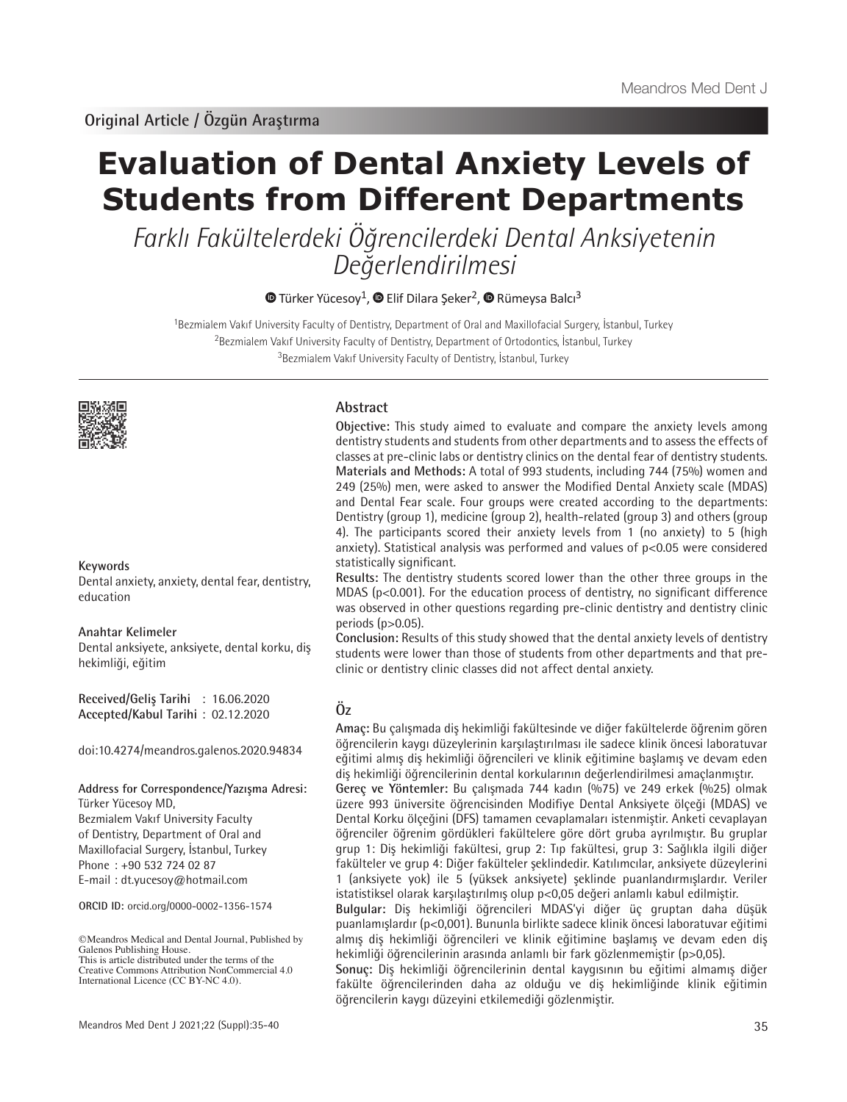# **Evaluation of Dental Anxiety Levels of Students from Different Departments**

Farklı Fakültelerdeki Öğrencilerdeki Dental Anksiyetenin Değerlendirilmesi

 $\bullet$ Türker Yücesoy<sup>1</sup>,  $\bullet$  Elif Dilara Seker<sup>2</sup>,  $\bullet$  Rümeysa Balcı<sup>3</sup>

<sup>1</sup>Bezmialem Vakıf University Faculty of Dentistry, Department of Oral and Maxillofacial Surgery, İstanbul, Turkey <sup>2</sup>Bezmialem Vakıf University Faculty of Dentistry, Department of Ortodontics, İstanbul, Turkey <sup>3</sup>Bezmialem Vakıf University Faculty of Dentistry, İstanbul, Turkey



## **Keywords**

Dental anxiety, anxiety, dental fear, dentistry, education

# **Anahtar Kelimeler**

Dental anksiyete, anksiyete, dental korku, diş hekimliği, eğitim

**Received/Geliş Tarihi** : 16.06.2020 **Accepted/Kabul Tarihi** : 02.12.2020

doi:10.4274/meandros.galenos.2020.94834

**Address for Correspondence/Yazışma Adresi:**

Türker Yücesoy MD, Bezmialem Vakıf University Faculty of Dentistry, Department of Oral and Maxillofacial Surgery, İstanbul, Turkey Phone : +90 532 724 02 87 E-mail : dt.yucesoy@hotmail.com

**ORCID ID:** orcid.org/0000-0002-1356-1574

©Meandros Medical and Dental Journal, Published by Galenos Publishing House. This is article distributed under the terms of the

## **Abstract**

**Objective:** This study aimed to evaluate and compare the anxiety levels among dentistry students and students from other departments and to assess the effects of classes at pre-clinic labs or dentistry clinics on the dental fear of dentistry students. **Materials and Methods:** A total of 993 students, including 744 (75%) women and 249 (25%) men, were asked to answer the Modified Dental Anxiety scale (MDAS) and Dental Fear scale. Four groups were created according to the departments: Dentistry (group 1), medicine (group 2), health-related (group 3) and others (group 4). The participants scored their anxiety levels from 1 (no anxiety) to 5 (high anxiety). Statistical analysis was performed and values of p<0.05 were considered statistically significant.

**Results:** The dentistry students scored lower than the other three groups in the MDAS (p<0.001). For the education process of dentistry, no significant difference was observed in other questions regarding pre-clinic dentistry and dentistry clinic periods (p>0.05).

**Conclusion:** Results of this study showed that the dental anxiety levels of dentistry students were lower than those of students from other departments and that preclinic or dentistry clinic classes did not affect dental anxiety.

# **Öz**

**Amaç:** Bu çalışmada diş hekimliği fakültesinde ve diğer fakültelerde öğrenim gören öğrencilerin kaygı düzeylerinin karşılaştırılması ile sadece klinik öncesi laboratuvar eğitimi almış diş hekimliği öğrencileri ve klinik eğitimine başlamış ve devam eden diş hekimliği öğrencilerinin dental korkularının değerlendirilmesi amaçlanmıştır.

**Gereç ve Yöntemler:** Bu çalışmada 744 kadın (%75) ve 249 erkek (%25) olmak üzere 993 üniversite öğrencisinden Modifiye Dental Anksiyete ölçeği (MDAS) ve Dental Korku ölçeğini (DFS) tamamen cevaplamaları istenmiştir. Anketi cevaplayan öğrenciler öğrenim gördükleri fakültelere göre dört gruba ayrılmıştır. Bu gruplar grup 1: Diş hekimliği fakültesi, grup 2: Tıp fakültesi, grup 3: Sağlıkla ilgili diğer fakülteler ve grup 4: Diğer fakülteler şeklindedir. Katılımcılar, anksiyete düzeylerini 1 (anksiyete yok) ile 5 (yüksek anksiyete) şeklinde puanlandırmışlardır. Veriler istatistiksel olarak karşılaştırılmış olup p<0,05 değeri anlamlı kabul edilmiştir.

**Bulgular:** Diş hekimliği öğrencileri MDAS'yi diğer üç gruptan daha düşük puanlamışlardır (p<0,001). Bununla birlikte sadece klinik öncesi laboratuvar eğitimi almış diş hekimliği öğrencileri ve klinik eğitimine başlamış ve devam eden diş hekimliği öğrencilerinin arasında anlamlı bir fark gözlenmemiştir (p>0,05).

**Sonuç:** Diş hekimliği öğrencilerinin dental kaygısının bu eğitimi almamış diğer fakülte öğrencilerinden daha az olduğu ve diş hekimliğinde klinik eğitimin öğrencilerin kaygı düzeyini etkilemediği gözlenmiştir.

Creative Commons Attribution NonCommercial 4.0 International Licence (CC BY-NC 4.0).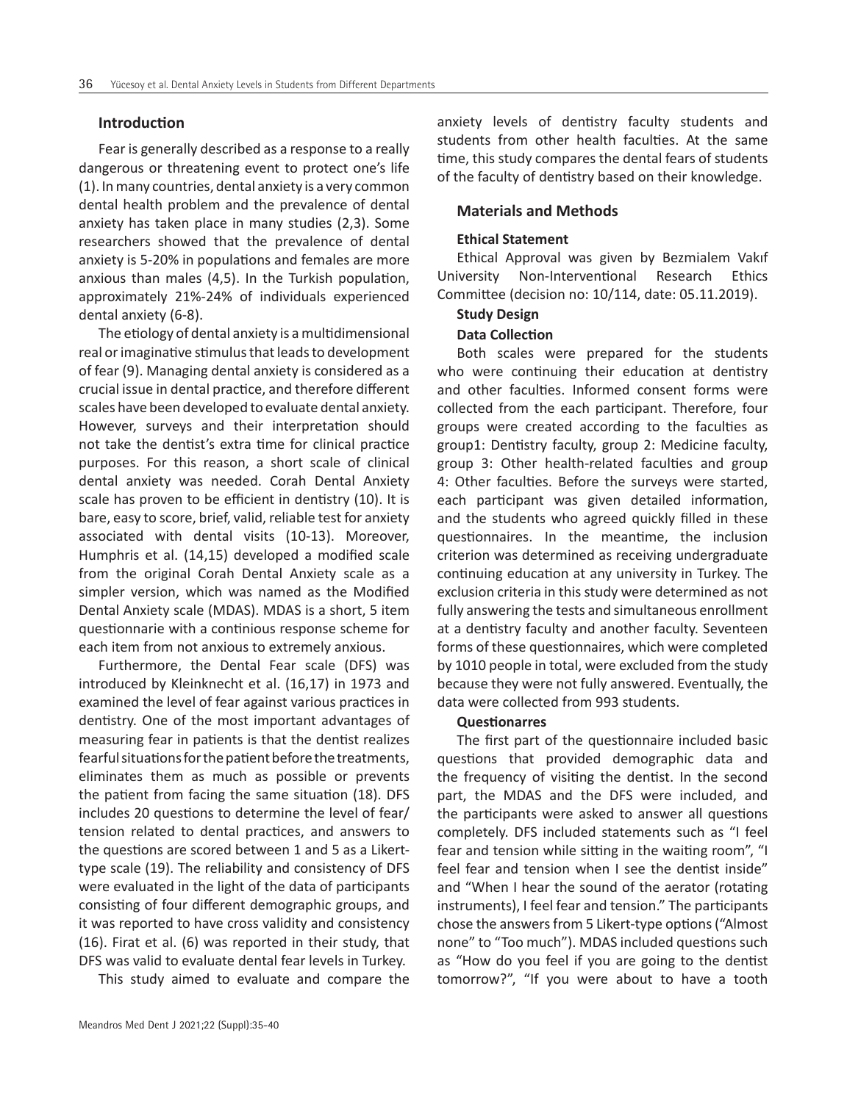## **Introduction**

Fear is generally described as a response to a really dangerous or threatening event to protect one's life (1). In many countries, dental anxiety is a very common dental health problem and the prevalence of dental anxiety has taken place in many studies (2,3). Some researchers showed that the prevalence of dental anxiety is 5-20% in populations and females are more anxious than males (4,5). In the Turkish population, approximately 21%-24% of individuals experienced dental anxiety (6-8).

The etiology of dental anxiety is a multidimensional real or imaginative stimulus that leads to development of fear (9). Managing dental anxiety is considered as a crucial issue in dental practice, and therefore different scales have been developed to evaluate dental anxiety. However, surveys and their interpretation should not take the dentist's extra time for clinical practice purposes. For this reason, a short scale of clinical dental anxiety was needed. Corah Dental Anxiety scale has proven to be efficient in dentistry (10). It is bare, easy to score, brief, valid, reliable test for anxiety associated with dental visits (10-13). Moreover, Humphris et al. (14,15) developed a modified scale from the original Corah Dental Anxiety scale as a simpler version, which was named as the Modified Dental Anxiety scale (MDAS). MDAS is a short, 5 item questionnarie with a continious response scheme for each item from not anxious to extremely anxious.

Furthermore, the Dental Fear scale (DFS) was introduced by Kleinknecht et al. (16,17) in 1973 and examined the level of fear against various practices in dentistry. One of the most important advantages of measuring fear in patients is that the dentist realizes fearful situations for the patient before the treatments, eliminates them as much as possible or prevents the patient from facing the same situation (18). DFS includes 20 questions to determine the level of fear/ tension related to dental practices, and answers to the questions are scored between 1 and 5 as a Likerttype scale (19). The reliability and consistency of DFS were evaluated in the light of the data of participants consisting of four different demographic groups, and it was reported to have cross validity and consistency (16). Firat et al. (6) was reported in their study, that DFS was valid to evaluate dental fear levels in Turkey.

This study aimed to evaluate and compare the

anxiety levels of dentistry faculty students and students from other health faculties. At the same time, this study compares the dental fears of students of the faculty of dentistry based on their knowledge.

# **Materials and Methods**

## **Ethical Statement**

Ethical Approval was given by Bezmialem Vakıf University Non-Interventional Research Ethics Committee (decision no: 10/114, date: 05.11.2019).

## **Study Design**

# **Data Collection**

Both scales were prepared for the students who were continuing their education at dentistry and other faculties. Informed consent forms were collected from the each participant. Therefore, four groups were created according to the faculties as group1: Dentistry faculty, group 2: Medicine faculty, group 3: Other health-related faculties and group 4: Other faculties. Before the surveys were started, each participant was given detailed information, and the students who agreed quickly filled in these questionnaires. In the meantime, the inclusion criterion was determined as receiving undergraduate continuing education at any university in Turkey. The exclusion criteria in this study were determined as not fully answering the tests and simultaneous enrollment at a dentistry faculty and another faculty. Seventeen forms of these questionnaires, which were completed by 1010 people in total, were excluded from the study because they were not fully answered. Eventually, the data were collected from 993 students.

#### **Questionarres**

The first part of the questionnaire included basic questions that provided demographic data and the frequency of visiting the dentist. In the second part, the MDAS and the DFS were included, and the participants were asked to answer all questions completely. DFS included statements such as "I feel fear and tension while sitting in the waiting room", "I feel fear and tension when I see the dentist inside" and "When I hear the sound of the aerator (rotating instruments), I feel fear and tension." The participants chose the answers from 5 Likert-type options ("Almost none" to "Too much"). MDAS included questions such as "How do you feel if you are going to the dentist tomorrow?", "If you were about to have a tooth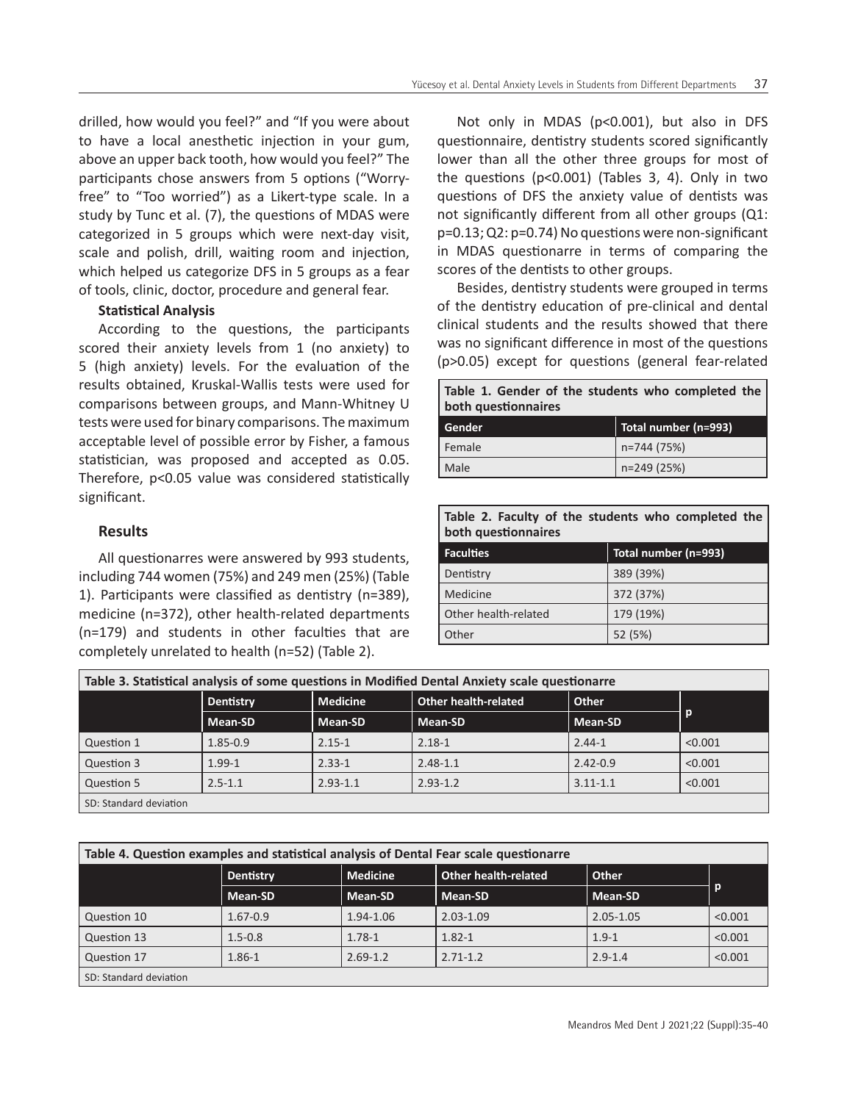drilled, how would you feel?" and "If you were about to have a local anesthetic injection in your gum, above an upper back tooth, how would you feel?" The participants chose answers from 5 options ("Worryfree" to "Too worried") as a Likert-type scale. In a study by Tunc et al. (7), the questions of MDAS were categorized in 5 groups which were next-day visit, scale and polish, drill, waiting room and injection, which helped us categorize DFS in 5 groups as a fear of tools, clinic, doctor, procedure and general fear.

# **Statistical Analysis**

According to the questions, the participants scored their anxiety levels from 1 (no anxiety) to 5 (high anxiety) levels. For the evaluation of the results obtained, Kruskal-Wallis tests were used for comparisons between groups, and Mann-Whitney U tests were used for binary comparisons. The maximum acceptable level of possible error by Fisher, a famous statistician, was proposed and accepted as 0.05. Therefore, p<0.05 value was considered statistically significant.

# **Results**

All questionarres were answered by 993 students, including 744 women (75%) and 249 men (25%) (Table 1). Participants were classified as dentistry (n=389), medicine (n=372), other health-related departments (n=179) and students in other faculties that are completely unrelated to health (n=52) (Table 2).

Not only in MDAS (p<0.001), but also in DFS questionnaire, dentistry students scored significantly lower than all the other three groups for most of the questions (p<0.001) (Tables 3, 4). Only in two questions of DFS the anxiety value of dentists was not significantly different from all other groups (Q1: p=0.13; Q2: p=0.74) No questions were non-significant in MDAS questionarre in terms of comparing the scores of the dentists to other groups.

Besides, dentistry students were grouped in terms of the dentistry education of pre-clinical and dental clinical students and the results showed that there was no significant difference in most of the questions (p>0.05) except for questions (general fear-related

| Table 1. Gender of the students who completed the<br>both questionnaires |                      |  |  |
|--------------------------------------------------------------------------|----------------------|--|--|
| Gender                                                                   | Total number (n=993) |  |  |
| Female                                                                   | n=744 (75%)          |  |  |
| Male                                                                     | n=249 (25%)          |  |  |

# **Table 2. Faculty of the students who completed the both questionnaires**

| <b>Faculties</b>     | Total number (n=993) |
|----------------------|----------------------|
| Dentistry            | 389 (39%)            |
| Medicine             | 372 (37%)            |
| Other health-related | 179 (19%)            |
| Other                | 52 (5%)              |

| Table 3. Statistical analysis of some questions in Modified Dental Anxiety scale questionarre |                  |                 |                      |                |              |
|-----------------------------------------------------------------------------------------------|------------------|-----------------|----------------------|----------------|--------------|
|                                                                                               | <b>Dentistry</b> | <b>Medicine</b> | Other health-related | Other          |              |
|                                                                                               | <b>Mean-SD</b>   | Mean-SD         | <b>Mean-SD</b>       | <b>Mean-SD</b> | $\mathbf{p}$ |
| Question 1                                                                                    | $1.85 - 0.9$     | $2.15 - 1$      | $2.18 - 1$           | $2.44 - 1$     | < 0.001      |
| Question 3                                                                                    | $1.99 - 1$       | $2.33 - 1$      | $2.48 - 1.1$         | $2.42 - 0.9$   | < 0.001      |
| Question 5                                                                                    | $2.5 - 1.1$      | $2.93 - 1.1$    | $2.93 - 1.2$         | $3.11 - 1.1$   | < 0.001      |
| SD: Standard deviation                                                                        |                  |                 |                      |                |              |

| Table 4. Question examples and statistical analysis of Dental Fear scale questionarre |                  |                 |                             |               |         |
|---------------------------------------------------------------------------------------|------------------|-----------------|-----------------------------|---------------|---------|
|                                                                                       | <b>Dentistry</b> | <b>Medicine</b> | <b>Other health-related</b> | Other         |         |
|                                                                                       | Mean-SD          | Mean-SD         | <b>Mean-SD</b>              | Mean-SD       | D       |
| Question 10                                                                           | 1.67-0.9         | 1.94-1.06       | $2.03 - 1.09$               | $2.05 - 1.05$ | < 0.001 |
| Question 13                                                                           | $1.5 - 0.8$      | $1.78 - 1$      | $1.82 - 1$                  | $1.9 - 1$     | < 0.001 |
| Question 17                                                                           | 1.86-1           | $2.69 - 1.2$    | $2.71 - 1.2$                | $2.9 - 1.4$   | < 0.001 |
| SD: Standard deviation                                                                |                  |                 |                             |               |         |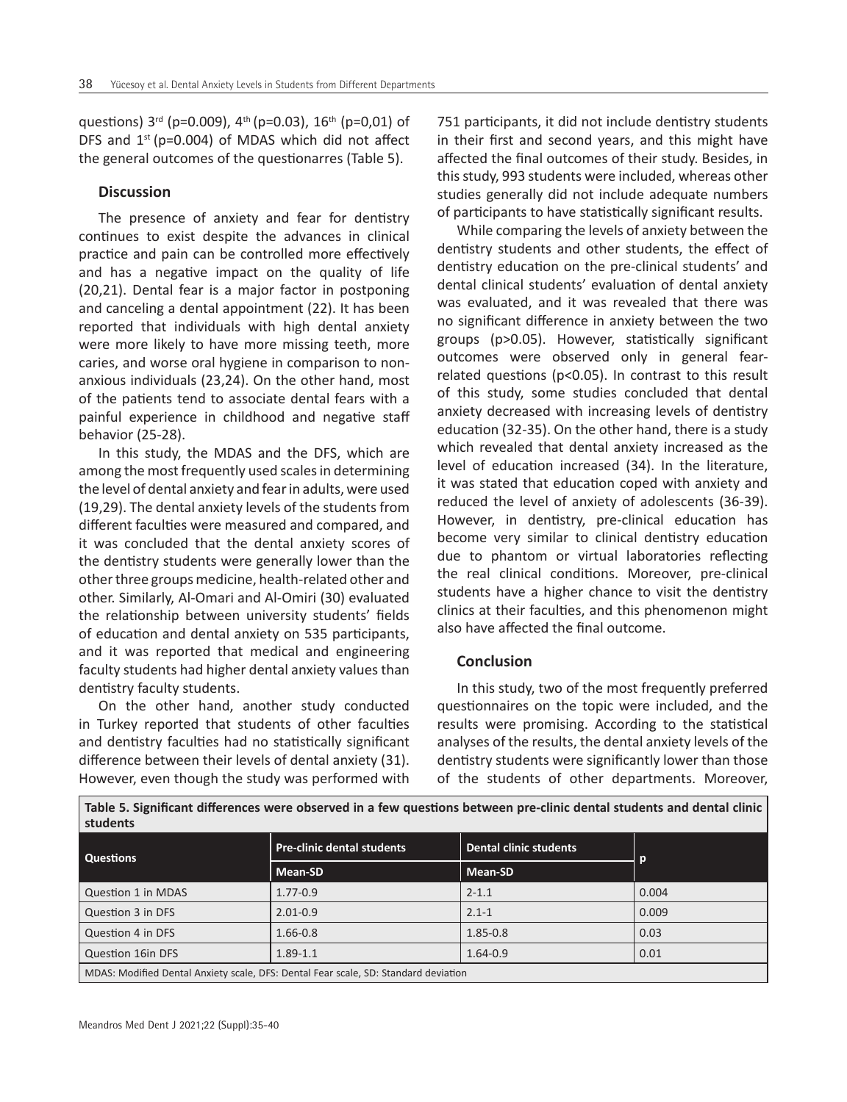questions)  $3^{rd}$  (p=0.009),  $4^{th}$  (p=0.03),  $16^{th}$  (p=0,01) of DFS and  $1^{st}$  (p=0.004) of MDAS which did not affect the general outcomes of the questionarres (Table 5).

# **Discussion**

The presence of anxiety and fear for dentistry continues to exist despite the advances in clinical practice and pain can be controlled more effectively and has a negative impact on the quality of life (20,21). Dental fear is a major factor in postponing and canceling a dental appointment (22). It has been reported that individuals with high dental anxiety were more likely to have more missing teeth, more caries, and worse oral hygiene in comparison to nonanxious individuals (23,24). On the other hand, most of the patients tend to associate dental fears with a painful experience in childhood and negative staff behavior (25-28).

In this study, the MDAS and the DFS, which are among the most frequently used scales in determining the level of dental anxiety and fear in adults, were used (19,29). The dental anxiety levels of the students from different faculties were measured and compared, and it was concluded that the dental anxiety scores of the dentistry students were generally lower than the other three groups medicine, health-related other and other. Similarly, Al-Omari and Al-Omiri (30) evaluated the relationship between university students' fields of education and dental anxiety on 535 participants, and it was reported that medical and engineering faculty students had higher dental anxiety values than dentistry faculty students.

On the other hand, another study conducted in Turkey reported that students of other faculties and dentistry faculties had no statistically significant difference between their levels of dental anxiety (31). However, even though the study was performed with

751 participants, it did not include dentistry students in their first and second years, and this might have affected the final outcomes of their study. Besides, in this study, 993 students were included, whereas other studies generally did not include adequate numbers of participants to have statistically significant results.

While comparing the levels of anxiety between the dentistry students and other students, the effect of dentistry education on the pre-clinical students' and dental clinical students' evaluation of dental anxiety was evaluated, and it was revealed that there was no significant difference in anxiety between the two groups (p>0.05). However, statistically significant outcomes were observed only in general fearrelated questions (p<0.05). In contrast to this result of this study, some studies concluded that dental anxiety decreased with increasing levels of dentistry education (32-35). On the other hand, there is a study which revealed that dental anxiety increased as the level of education increased (34). In the literature, it was stated that education coped with anxiety and reduced the level of anxiety of adolescents (36-39). However, in dentistry, pre-clinical education has become very similar to clinical dentistry education due to phantom or virtual laboratories reflecting the real clinical conditions. Moreover, pre-clinical students have a higher chance to visit the dentistry clinics at their faculties, and this phenomenon might also have affected the final outcome.

## **Conclusion**

In this study, two of the most frequently preferred questionnaires on the topic were included, and the results were promising. According to the statistical analyses of the results, the dental anxiety levels of the dentistry students were significantly lower than those of the students of other departments. Moreover,

| students                                                                            |                                   |                               |       |  |  |
|-------------------------------------------------------------------------------------|-----------------------------------|-------------------------------|-------|--|--|
| <b>Questions</b>                                                                    | <b>Pre-clinic dental students</b> | <b>Dental clinic students</b> |       |  |  |
|                                                                                     | Mean-SD                           | Mean-SD                       |       |  |  |
| Question 1 in MDAS                                                                  | $1.77 - 0.9$                      | $2 - 1.1$                     | 0.004 |  |  |
| Question 3 in DFS                                                                   | $2.01 - 0.9$                      | $2.1 - 1$                     | 0.009 |  |  |
| Question 4 in DFS                                                                   | $1.66 - 0.8$                      | $1.85 - 0.8$                  | 0.03  |  |  |
| Question 16in DFS                                                                   | $1.89 - 1.1$                      | $1.64 - 0.9$                  | 0.01  |  |  |
| MDAS: Modified Dental Anxiety scale, DFS: Dental Fear scale, SD: Standard deviation |                                   |                               |       |  |  |

**Table 5. Significant differences were observed in a few questions between pre-clinic dental students and dental clinic students**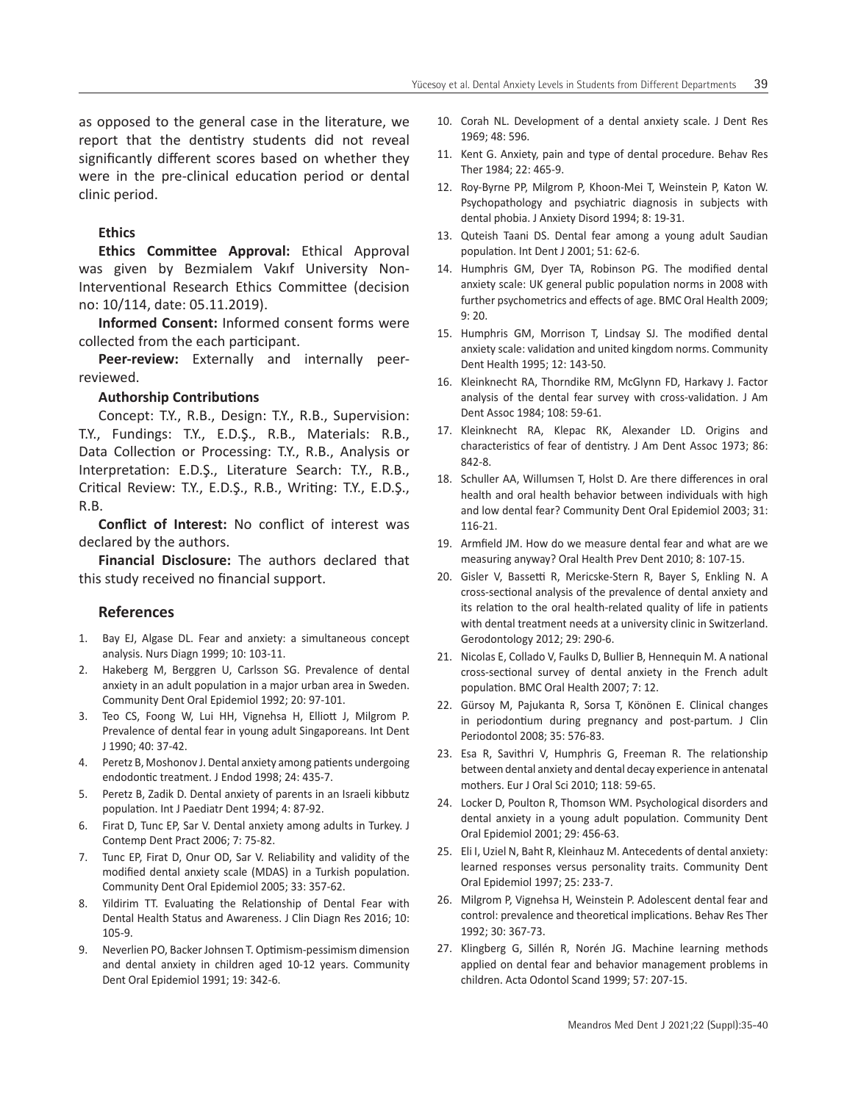as opposed to the general case in the literature, we report that the dentistry students did not reveal significantly different scores based on whether they were in the pre-clinical education period or dental clinic period.

# **Ethics**

**Ethics Committee Approval:** Ethical Approval was given by Bezmialem Vakıf University Non-Interventional Research Ethics Committee (decision no: 10/114, date: 05.11.2019).

**Informed Consent:** Informed consent forms were collected from the each participant.

**Peer-review:** Externally and internally peerreviewed.

## **Authorship Contributions**

Concept: T.Y., R.B., Design: T.Y., R.B., Supervision: T.Y., Fundings: T.Y., E.D.Ş., R.B., Materials: R.B., Data Collection or Processing: T.Y., R.B., Analysis or Interpretation: E.D.Ş., Literature Search: T.Y., R.B., Critical Review: T.Y., E.D.Ş., R.B., Writing: T.Y., E.D.Ş., R.B.

**Conflict of Interest:** No conflict of interest was declared by the authors.

**Financial Disclosure:** The authors declared that this study received no financial support.

# **References**

- 1. Bay EJ, Algase DL. Fear and anxiety: a simultaneous concept analysis. Nurs Diagn 1999; 10: 103-11.
- 2. Hakeberg M, Berggren U, Carlsson SG. Prevalence of dental anxiety in an adult population in a major urban area in Sweden. Community Dent Oral Epidemiol 1992; 20: 97-101.
- 3. Teo CS, Foong W, Lui HH, Vignehsa H, Elliott J, Milgrom P. Prevalence of dental fear in young adult Singaporeans. Int Dent J 1990; 40: 37-42.
- 4. Peretz B, Moshonov J. Dental anxiety among patients undergoing endodontic treatment. J Endod 1998; 24: 435-7.
- 5. Peretz B, Zadik D. Dental anxiety of parents in an Israeli kibbutz population. Int J Paediatr Dent 1994; 4: 87-92.
- 6. Firat D, Tunc EP, Sar V. Dental anxiety among adults in Turkey. J Contemp Dent Pract 2006; 7: 75-82.
- 7. Tunc EP, Firat D, Onur OD, Sar V. Reliability and validity of the modified dental anxiety scale (MDAS) in a Turkish population. Community Dent Oral Epidemiol 2005; 33: 357-62.
- Yildirim TT. Evaluating the Relationship of Dental Fear with Dental Health Status and Awareness. J Clin Diagn Res 2016; 10: 105-9.
- 9. Neverlien PO, Backer Johnsen T. Optimism-pessimism dimension and dental anxiety in children aged 10-12 years. Community Dent Oral Epidemiol 1991; 19: 342-6.
- 10. Corah NL. Development of a dental anxiety scale. J Dent Res 1969; 48: 596.
- 11. Kent G. Anxiety, pain and type of dental procedure. Behav Res Ther 1984; 22: 465-9.
- 12. Roy-Byrne PP, Milgrom P, Khoon-Mei T, Weinstein P, Katon W. Psychopathology and psychiatric diagnosis in subjects with dental phobia. J Anxiety Disord 1994; 8: 19-31.
- 13. Quteish Taani DS. Dental fear among a young adult Saudian population. Int Dent J 2001; 51: 62-6.
- 14. Humphris GM, Dyer TA, Robinson PG. The modified dental anxiety scale: UK general public population norms in 2008 with further psychometrics and effects of age. BMC Oral Health 2009; 9: 20.
- 15. Humphris GM, Morrison T, Lindsay SJ. The modified dental anxiety scale: validation and united kingdom norms. Community Dent Health 1995; 12: 143-50.
- 16. Kleinknecht RA, Thorndike RM, McGlynn FD, Harkavy J. Factor analysis of the dental fear survey with cross-validation. J Am Dent Assoc 1984; 108: 59-61.
- 17. Kleinknecht RA, Klepac RK, Alexander LD. Origins and characteristics of fear of dentistry. J Am Dent Assoc 1973; 86: 842-8.
- 18. Schuller AA, Willumsen T, Holst D. Are there differences in oral health and oral health behavior between individuals with high and low dental fear? Community Dent Oral Epidemiol 2003; 31: 116-21.
- 19. Armfield JM. How do we measure dental fear and what are we measuring anyway? Oral Health Prev Dent 2010; 8: 107-15.
- 20. Gisler V, Bassetti R, Mericske‐Stern R, Bayer S, Enkling N. A cross‐sectional analysis of the prevalence of dental anxiety and its relation to the oral health‐related quality of life in patients with dental treatment needs at a university clinic in Switzerland. Gerodontology 2012; 29: 290-6.
- 21. Nicolas E, Collado V, Faulks D, Bullier B, Hennequin M. A national cross-sectional survey of dental anxiety in the French adult population. BMC Oral Health 2007; 7: 12.
- 22. Gürsoy M, Pajukanta R, Sorsa T, Könönen E. Clinical changes in periodontium during pregnancy and post-partum. J Clin Periodontol 2008; 35: 576-83.
- 23. Esa R, Savithri V, Humphris G, Freeman R. The relationship between dental anxiety and dental decay experience in antenatal mothers. Eur J Oral Sci 2010; 118: 59-65.
- 24. Locker D, Poulton R, Thomson WM. Psychological disorders and dental anxiety in a young adult population. Community Dent Oral Epidemiol 2001; 29: 456-63.
- 25. Eli I, Uziel N, Baht R, Kleinhauz M. Antecedents of dental anxiety: learned responses versus personality traits. Community Dent Oral Epidemiol 1997; 25: 233-7.
- 26. Milgrom P, Vignehsa H, Weinstein P. Adolescent dental fear and control: prevalence and theoretical implications. Behav Res Ther 1992; 30: 367-73.
- 27. Klingberg G, Sillén R, Norén JG. Machine learning methods applied on dental fear and behavior management problems in children. Acta Odontol Scand 1999; 57: 207-15.